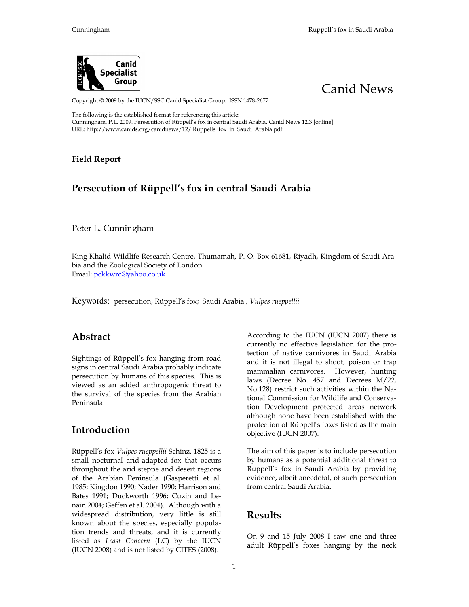



Copyright © 2009 by the IUCN/SSC Canid Specialist Group. ISSN 1478-2677

The following is the established format for referencing this article: Cunningham, P.L. 2009. Persecution of Rüppell's fox in central Saudi Arabia. Canid News 12.3 [online] URL: http://www.canids.org/canidnews/12/ Ruppells\_fox\_in\_Saudi\_Arabia.pdf.

#### **Field Report**

## **Persecution of Rüppell's fox in central Saudi Arabia**

Peter L. Cunningham

King Khalid Wildlife Research Centre, Thumamah, P. O. Box 61681, Riyadh, Kingdom of Saudi Arabia and the Zoological Society of London. Email: pckkwrc@yahoo.co.uk

Keywords: persecution; Rüppell's fox; Saudi Arabia , *Vulpes rueppellii*

### **Abstract**

Sightings of Rüppell's fox hanging from road signs in central Saudi Arabia probably indicate persecution by humans of this species. This is viewed as an added anthropogenic threat to the survival of the species from the Arabian Peninsula.

## **Introduction**

Rüppell's fox *Vulpes rueppellii* Schinz, 1825 is a small nocturnal arid-adapted fox that occurs throughout the arid steppe and desert regions of the Arabian Peninsula (Gasperetti et al. 1985; Kingdon 1990; Nader 1990; Harrison and Bates 1991; Duckworth 1996; Cuzin and Lenain 2004; Geffen et al. 2004). Although with a widespread distribution, very little is still known about the species, especially population trends and threats, and it is currently listed as *Least Concern* (LC) by the IUCN (IUCN 2008) and is not listed by CITES (2008).

According to the IUCN (IUCN 2007) there is currently no effective legislation for the protection of native carnivores in Saudi Arabia and it is not illegal to shoot, poison or trap mammalian carnivores. However, hunting laws (Decree No. 457 and Decrees M/22, No.128) restrict such activities within the National Commission for Wildlife and Conservation Development protected areas network although none have been established with the protection of Rüppell's foxes listed as the main objective (IUCN 2007).

The aim of this paper is to include persecution by humans as a potential additional threat to Rüppell's fox in Saudi Arabia by providing evidence, albeit anecdotal, of such persecution from central Saudi Arabia.

### **Results**

On 9 and 15 July 2008 I saw one and three adult Rüppell's foxes hanging by the neck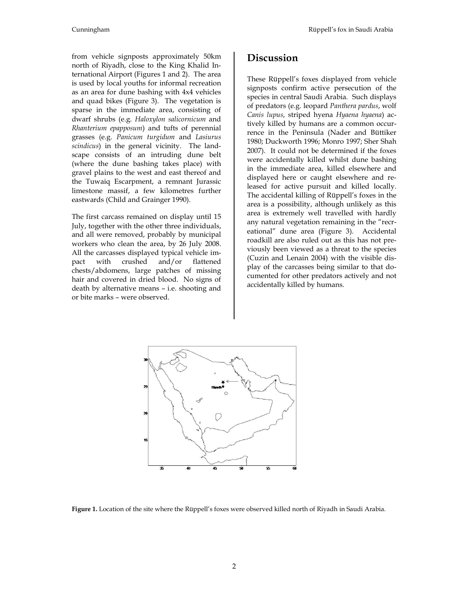from vehicle signposts approximately 50km north of Riyadh, close to the King Khalid International Airport (Figures 1 and 2). The area is used by local youths for informal recreation as an area for dune bashing with 4x4 vehicles and quad bikes (Figure 3). The vegetation is sparse in the immediate area, consisting of dwarf shrubs (e.g. *Haloxylon salicornicum* and *Rhanterium epapposum*) and tufts of perennial grasses (e.g. *Panicum turgidum* and *Lasiurus scindicus*) in the general vicinity. The landscape consists of an intruding dune belt (where the dune bashing takes place) with gravel plains to the west and east thereof and the Tuwaiq Escarpment, a remnant Jurassic limestone massif, a few kilometres further eastwards (Child and Grainger 1990).

The first carcass remained on display until 15 July, together with the other three individuals, and all were removed, probably by municipal workers who clean the area, by 26 July 2008. All the carcasses displayed typical vehicle im-<br>pact with crushed and/or flattened pact with crushed and/or flattened chests/abdomens, large patches of missing hair and covered in dried blood. No signs of death by alternative means – i.e. shooting and or bite marks – were observed.

## **Discussion**

These Rüppell's foxes displayed from vehicle signposts confirm active persecution of the species in central Saudi Arabia. Such displays of predators (e.g. leopard *Panthera pardus*, wolf *Canis lupus*, striped hyena *Hyaena hyaena*) actively killed by humans are a common occurrence in the Peninsula (Nader and Büttiker 1980; Duckworth 1996; Monro 1997; Sher Shah 2007). It could not be determined if the foxes were accidentally killed whilst dune bashing in the immediate area, killed elsewhere and displayed here or caught elsewhere and released for active pursuit and killed locally. The accidental killing of Rüppell's foxes in the area is a possibility, although unlikely as this area is extremely well travelled with hardly any natural vegetation remaining in the "recreational" dune area (Figure 3). Accidental roadkill are also ruled out as this has not previously been viewed as a threat to the species (Cuzin and Lenain 2004) with the visible display of the carcasses being similar to that documented for other predators actively and not accidentally killed by humans.



**Figure 1.** Location of the site where the Rüppell's foxes were observed killed north of Riyadh in Saudi Arabia.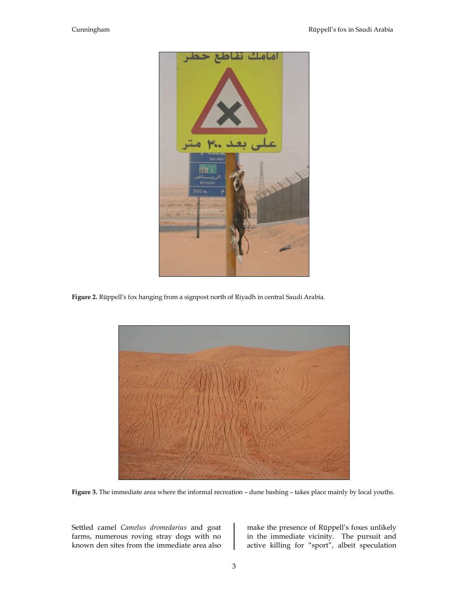

**Figure 2.** Rüppell's fox hanging from a signpost north of Riyadh in central Saudi Arabia.



**Figure 3.** The immediate area where the informal recreation – dune bashing – takes place mainly by local youths.

Settled camel *Camelus dromedarius* and goat farms, numerous roving stray dogs with no known den sites from the immediate area also make the presence of Rüppell's foxes unlikely in the immediate vicinity. The pursuit and active killing for "sport", albeit speculation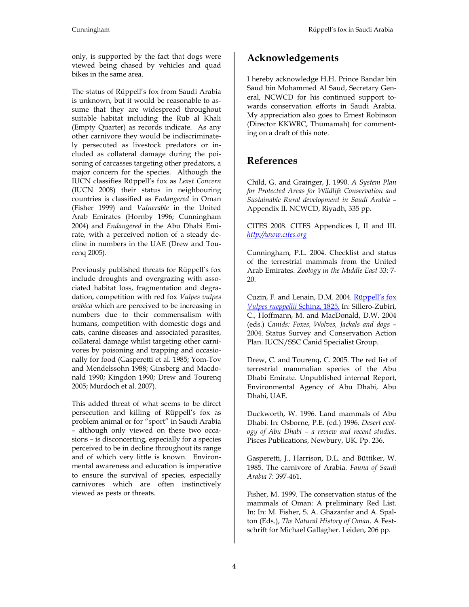only, is supported by the fact that dogs were viewed being chased by vehicles and quad bikes in the same area.

The status of Rüppell's fox from Saudi Arabia is unknown, but it would be reasonable to assume that they are widespread throughout suitable habitat including the Rub al Khali (Empty Quarter) as records indicate. As any other carnivore they would be indiscriminately persecuted as livestock predators or included as collateral damage during the poisoning of carcasses targeting other predators, a major concern for the species. Although the IUCN classifies Rüppell's fox as *Least Concern* (IUCN 2008) their status in neighbouring countries is classified as *Endangered* in Oman (Fisher 1999) and *Vulnerable* in the United Arab Emirates (Hornby 1996; Cunningham 2004) and *Endangered* in the Abu Dhabi Emirate, with a perceived notion of a steady decline in numbers in the UAE (Drew and Tourenq 2005).

Previously published threats for Rüppell's fox include droughts and overgrazing with associated habitat loss, fragmentation and degradation, competition with red fox *Vulpes vulpes arabica* which are perceived to be increasing in numbers due to their commensalism with humans, competition with domestic dogs and cats, canine diseases and associated parasites, collateral damage whilst targeting other carnivores by poisoning and trapping and occasionally for food (Gasperetti et al. 1985; Yom-Tov and Mendelssohn 1988; Ginsberg and Macdonald 1990; Kingdon 1990; Drew and Tourenq 2005; Murdoch et al. 2007).

This added threat of what seems to be direct persecution and killing of Rüppell's fox as problem animal or for "sport" in Saudi Arabia – although only viewed on these two occasions – is disconcerting, especially for a species perceived to be in decline throughout its range and of which very little is known. Environmental awareness and education is imperative to ensure the survival of species, especially carnivores which are often instinctively viewed as pests or threats.

# **Acknowledgements**

I hereby acknowledge H.H. Prince Bandar bin Saud bin Mohammed Al Saud, Secretary General, NCWCD for his continued support towards conservation efforts in Saudi Arabia. My appreciation also goes to Ernest Robinson (Director KKWRC, Thumamah) for commenting on a draft of this note.

## **References**

Child, G. and Grainger, J. 1990. *A System Plan for Protected Areas for Wildlife Conservation and Sustainable Rural development in Saudi Arabia* – Appendix II. NCWCD, Riyadh, 335 pp.

CITES 2008. CITES Appendices I, II and III. *http://www.cites.org*

Cunningham, P.L. 2004. Checklist and status of the terrestrial mammals from the United Arab Emirates. *Zoology in the Middle East* 33: 7- 20.

Cuzin, F. and Lenain, D.M. 2004. Rüppell's fox *Vulpes rueppellii* Schinz, 1825. In: Sillero-Zubiri, C., Hoffmann, M. and MacDonald, D.W. 2004 (eds.) *Canids: Foxes, Wolves, Jackals and dogs* – 2004. Status Survey and Conservation Action Plan. IUCN/SSC Canid Specialist Group.

Drew, C. and Tourenq, C. 2005. The red list of terrestrial mammalian species of the Abu Dhabi Emirate. Unpublished internal Report, Environmental Agency of Abu Dhabi, Abu Dhabi, UAE.

Duckworth, W. 1996. Land mammals of Abu Dhabi. In: Osborne, P.E. (ed.) 1996. *Desert ecology of Abu Dhabi – a review and recent studies*. Pisces Publications, Newbury, UK. Pp. 236.

Gasperetti, J., Harrison, D.L. and Büttiker, W. 1985. The carnivore of Arabia. *Fauna of Saudi Arabia* 7: 397-461.

Fisher, M. 1999. The conservation status of the mammals of Oman: A preliminary Red List. In: In: M. Fisher, S. A. Ghazanfar and A. Spalton (Eds.), *The Natural History of Oman*. A Festschrift for Michael Gallagher. Leiden, 206 pp.